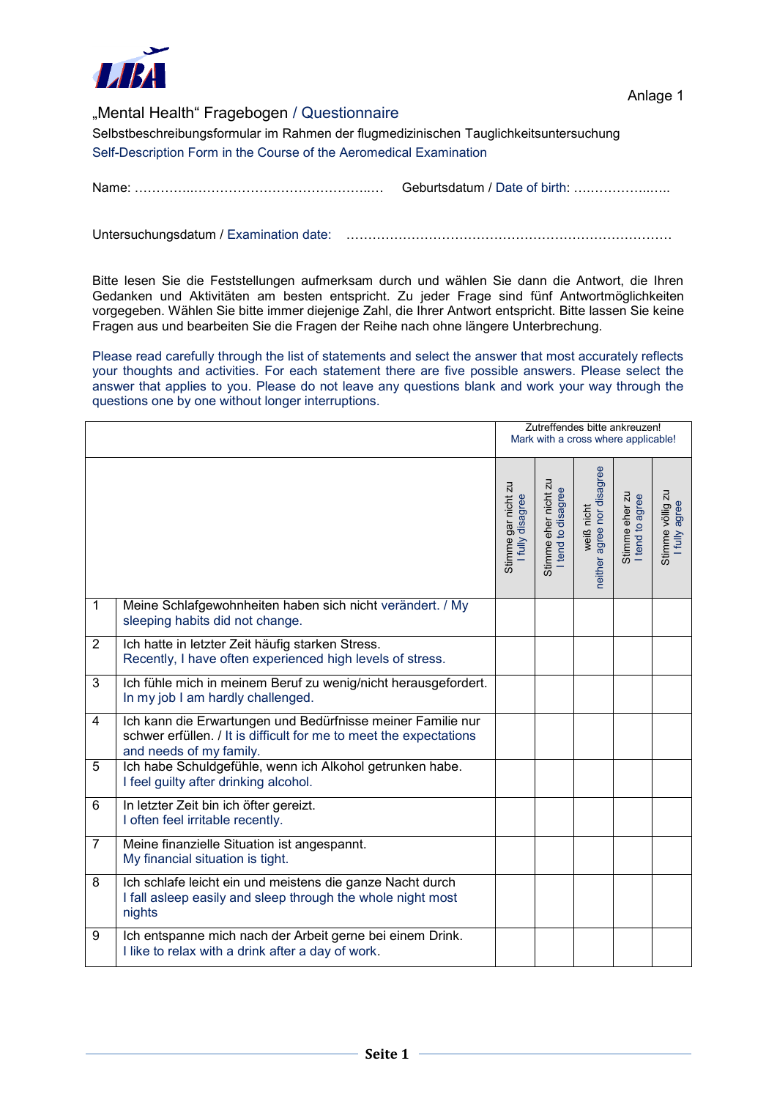

## "Mental Health" Fragebogen / Questionnaire

Selbstbeschreibungsformular im Rahmen der flugmedizinischen Tauglichkeitsuntersuchung Self-Description Form in the Course of the Aeromedical Examination

Name: …………..…………………………………..… Geburtsdatum / Date of birth: ….…………..…..

Untersuchungsdatum / Examination date: …………………………………………………………………

Bitte lesen Sie die Feststellungen aufmerksam durch und wählen Sie dann die Antwort, die Ihren Gedanken und Aktivitäten am besten entspricht. Zu jeder Frage sind fünf Antwortmöglichkeiten vorgegeben. Wählen Sie bitte immer diejenige Zahl, die Ihrer Antwort entspricht. Bitte lassen Sie keine Fragen aus und bearbeiten Sie die Fragen der Reihe nach ohne längere Unterbrechung.

Please read carefully through the list of statements and select the answer that most accurately reflects your thoughts and activities. For each statement there are five possible answers. Please select the answer that applies to you. Please do not leave any questions blank and work your way through the questions one by one without longer interruptions.

|                |                                                                                                                                                              | Zutreffendes bitte ankreuzen!<br>Mark with a cross where applicable! |                                            |                                          |                                   |                                   |  |
|----------------|--------------------------------------------------------------------------------------------------------------------------------------------------------------|----------------------------------------------------------------------|--------------------------------------------|------------------------------------------|-----------------------------------|-----------------------------------|--|
|                |                                                                                                                                                              | Stimme gar nicht zu<br>I fully disagree                              | Stimme eher nicht zu<br>I tend to disagree | neither agree nor disagree<br>weiß nicht | Stimme eher zu<br>I tend to agree | Stimme völlig zu<br>I fully agree |  |
| $\mathbf{1}$   | Meine Schlafgewohnheiten haben sich nicht verändert. / My<br>sleeping habits did not change.                                                                 |                                                                      |                                            |                                          |                                   |                                   |  |
| $\overline{2}$ | Ich hatte in letzter Zeit häufig starken Stress.<br>Recently, I have often experienced high levels of stress.                                                |                                                                      |                                            |                                          |                                   |                                   |  |
| 3              | Ich fühle mich in meinem Beruf zu wenig/nicht herausgefordert.<br>In my job I am hardly challenged.                                                          |                                                                      |                                            |                                          |                                   |                                   |  |
| 4              | Ich kann die Erwartungen und Bedürfnisse meiner Familie nur<br>schwer erfüllen. / It is difficult for me to meet the expectations<br>and needs of my family. |                                                                      |                                            |                                          |                                   |                                   |  |
| 5              | Ich habe Schuldgefühle, wenn ich Alkohol getrunken habe.<br>I feel guilty after drinking alcohol.                                                            |                                                                      |                                            |                                          |                                   |                                   |  |
| 6              | In letzter Zeit bin ich öfter gereizt.<br>I often feel irritable recently.                                                                                   |                                                                      |                                            |                                          |                                   |                                   |  |
| $\overline{7}$ | Meine finanzielle Situation ist angespannt.<br>My financial situation is tight.                                                                              |                                                                      |                                            |                                          |                                   |                                   |  |
| 8              | Ich schlafe leicht ein und meistens die ganze Nacht durch<br>I fall asleep easily and sleep through the whole night most<br>nights                           |                                                                      |                                            |                                          |                                   |                                   |  |
| 9              | Ich entspanne mich nach der Arbeit gerne bei einem Drink.<br>I like to relax with a drink after a day of work.                                               |                                                                      |                                            |                                          |                                   |                                   |  |